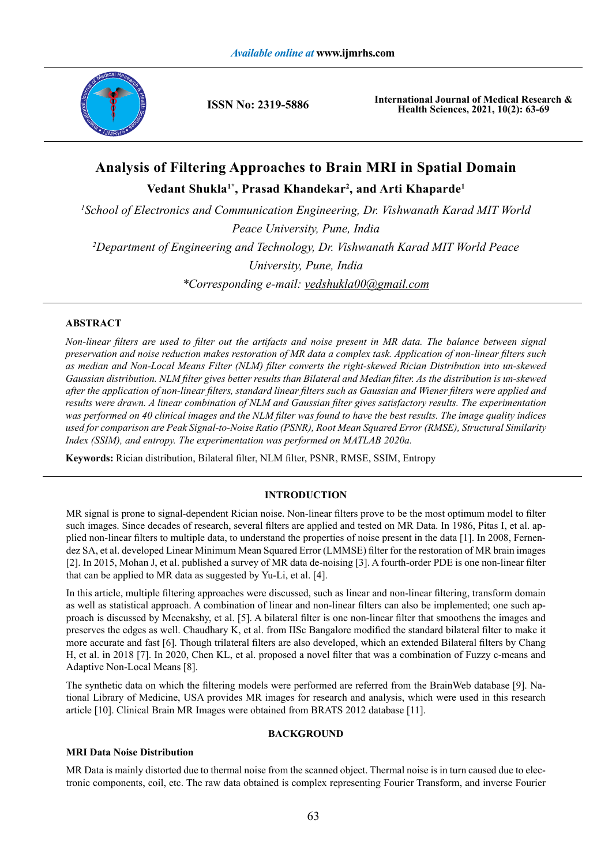

**ISSN No: 2319-5886**

**International Journal of Medical Research & Health Sciences, 2021, 10(2): 63-69**

# **Analysis of Filtering Approaches to Brain MRI in Spatial Domain Vedant Shukla1\*, Prasad Khandekar2 , and Arti Khaparde1**

<sup>1</sup> School of Electronics and Communication Engineering, Dr. Vishwanath Karad MIT World *Peace University, Pune, India 2 Department of Engineering and Technology, Dr. Vishwanath Karad MIT World Peace University, Pune, India \*Corresponding e-mail: vedshukla00@gmail.com*

# **ABSTRACT**

*Non-linear filters are used to filter out the artifacts and noise present in MR data. The balance between signal preservation and noise reduction makes restoration of MR data a complex task. Application of non-linear filters such as median and Non-Local Means Filter (NLM) filter converts the right-skewed Rician Distribution into un-skewed Gaussian distribution. NLM filter gives better results than Bilateral and Median filter. As the distribution is un-skewed after the application of non-linear filters, standard linear filters such as Gaussian and Wiener filters were applied and results were drawn. A linear combination of NLM and Gaussian filter gives satisfactory results. The experimentation*  was performed on 40 clinical images and the NLM filter was found to have the best results. The image quality indices *used for comparison are Peak Signal-to-Noise Ratio (PSNR), Root Mean Squared Error (RMSE), Structural Similarity Index (SSIM), and entropy. The experimentation was performed on MATLAB 2020a.*

**Keywords:** Rician distribution, Bilateral filter, NLM filter, PSNR, RMSE, SSIM, Entropy

# **INTRODUCTION**

MR signal is prone to signal-dependent Rician noise. Non-linear filters prove to be the most optimum model to filter such images. Since decades of research, several filters are applied and tested on MR Data. In 1986, Pitas I, et al. applied non-linear filters to multiple data, to understand the properties of noise present in the data [1]. In 2008, Fernendez SA, et al. developed Linear Minimum Mean Squared Error (LMMSE) filter for the restoration of MR brain images [2]. In 2015, Mohan J, et al. published a survey of MR data de-noising [3]. A fourth-order PDE is one non-linear filter that can be applied to MR data as suggested by Yu-Li, et al. [4].

In this article, multiple filtering approaches were discussed, such as linear and non-linear filtering, transform domain as well as statistical approach. A combination of linear and non-linear filters can also be implemented; one such approach is discussed by Meenakshy, et al. [5]. A bilateral filter is one non-linear filter that smoothens the images and preserves the edges as well. Chaudhary K, et al. from IISc Bangalore modified the standard bilateral filter to make it more accurate and fast [6]. Though trilateral filters are also developed, which an extended Bilateral filters by Chang H, et al. in 2018 [7]. In 2020, Chen KL, et al. proposed a novel filter that was a combination of Fuzzy c-means and Adaptive Non-Local Means [8].

The synthetic data on which the filtering models were performed are referred from the BrainWeb database [9]. National Library of Medicine, USA provides MR images for research and analysis, which were used in this research article [10]. Clinical Brain MR Images were obtained from BRATS 2012 database [11].

### **BACKGROUND**

### **MRI Data Noise Distribution**

MR Data is mainly distorted due to thermal noise from the scanned object. Thermal noise is in turn caused due to electronic components, coil, etc. The raw data obtained is complex representing Fourier Transform, and inverse Fourier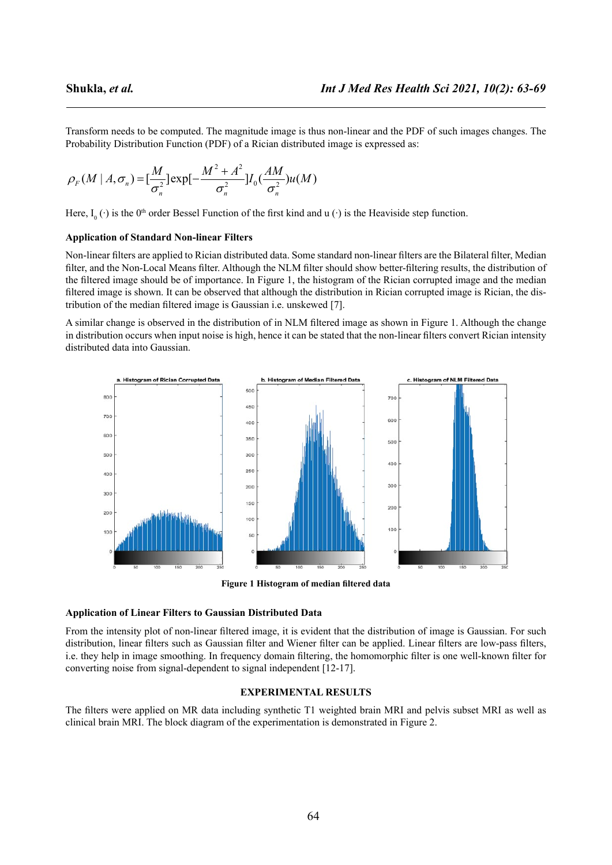Transform needs to be computed. The magnitude image is thus non-linear and the PDF of such images changes. The Probability Distribution Function (PDF) of a Rician distributed image is expressed as:

$$
\rho_F(M \mid A, \sigma_n) = \left[\frac{M}{\sigma_n^2}\right] \exp\left[-\frac{M^2 + A^2}{\sigma_n^2}\right] I_0\left(\frac{AM}{\sigma_n^2}\right) u(M)
$$

Here,  $I_0(\cdot)$  is the 0<sup>th</sup> order Bessel Function of the first kind and u ( $\cdot$ ) is the Heaviside step function.

# **Application of Standard Non-linear Filters**

Non-linear filters are applied to Rician distributed data. Some standard non-linear filters are the Bilateral filter, Median filter, and the Non-Local Means filter. Although the NLM filter should show better-filtering results, the distribution of the filtered image should be of importance. In Figure 1, the histogram of the Rician corrupted image and the median filtered image is shown. It can be observed that although the distribution in Rician corrupted image is Rician, the distribution of the median filtered image is Gaussian i.e. unskewed [7].

A similar change is observed in the distribution of in NLM filtered image as shown in Figure 1. Although the change in distribution occurs when input noise is high, hence it can be stated that the non-linear filters convert Rician intensity distributed data into Gaussian.



**Figure 1 Histogram of median filtered data**

### **Application of Linear Filters to Gaussian Distributed Data**

From the intensity plot of non-linear filtered image, it is evident that the distribution of image is Gaussian. For such distribution, linear filters such as Gaussian filter and Wiener filter can be applied. Linear filters are low-pass filters, i.e. they help in image smoothing. In frequency domain filtering, the homomorphic filter is one well-known filter for converting noise from signal-dependent to signal independent [12-17].

# **EXPERIMENTAL RESULTS**

The filters were applied on MR data including synthetic T1 weighted brain MRI and pelvis subset MRI as well as clinical brain MRI. The block diagram of the experimentation is demonstrated in Figure 2.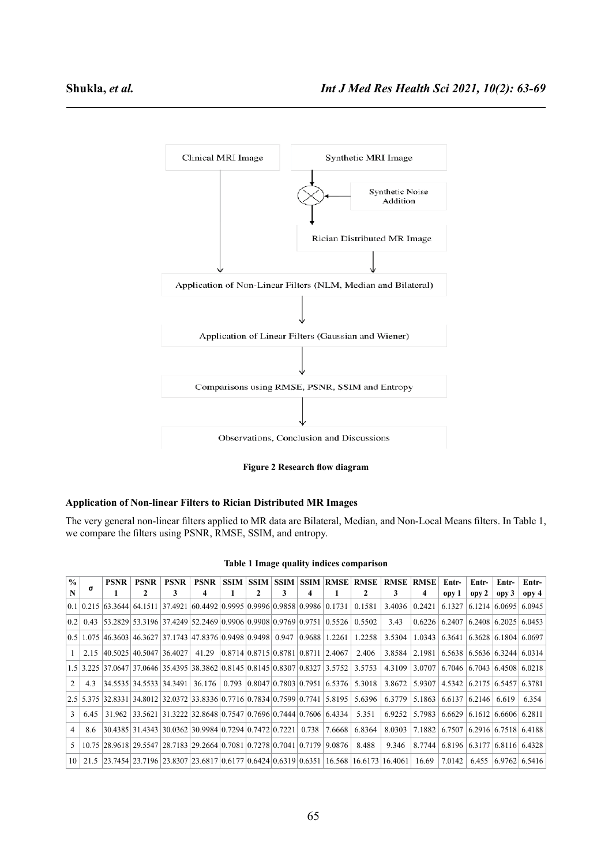

**Figure 2 Research flow diagram**

# **Application of Non-linear Filters to Rician Distributed MR Images**

The very general non-linear filters applied to MR data are Bilateral, Median, and Non-Local Means filters. In Table 1, we compare the filters using PSNR, RMSE, SSIM, and entropy.

|  |  |  |  | Table 1 Image quality indices comparison |
|--|--|--|--|------------------------------------------|
|--|--|--|--|------------------------------------------|

| $\frac{0}{0}$   |      | PSNR   | <b>PSNR</b>                  | <b>PSNR</b> | <b>PSNR</b>                                                                                                                                | <b>SSIM</b> |   | <b>SSIM SSIM</b> |       |                                          | <b>SSIM RMSE RMSE</b>                                               | <b>RMSE RMSE</b> |               | Entr-  | Entr-               | Entr-                  | Entr-                                     |
|-----------------|------|--------|------------------------------|-------------|--------------------------------------------------------------------------------------------------------------------------------------------|-------------|---|------------------|-------|------------------------------------------|---------------------------------------------------------------------|------------------|---------------|--------|---------------------|------------------------|-------------------------------------------|
| N               | σ    |        | 2                            | 3           | 4                                                                                                                                          |             | 2 | 3                | 4     |                                          |                                                                     | 3                |               | opy 1  | opy 2               | opp3                   | opy 4                                     |
|                 |      |        |                              |             | $(0.1 \ 0.215 \ 63.3644 \ 64.1511 \ 37.4921 \ 60.4492 \ 0.9995 \ 0.9996 \ 0.9858 \ 0.9986 \ 0.1731$                                        |             |   |                  |       |                                          | 0.1581                                                              | 3.4036           | 0.2421        | 6.1327 |                     |                        | $6.1214$ 6.0695 6.0945                    |
| 0.2             | 0.43 |        |                              |             | 53.2829   53.3196   37.4249   52.2469   0.9906   0.9908   0.9769   0.9751   0.5526                                                         |             |   |                  |       |                                          | 0.5502                                                              | 3.43             | 0.6226        | 6.2407 |                     |                        | $6.2408$ 6.2025 6.0453                    |
|                 |      |        |                              |             | $(0.5 \, \, 1.075 \, \, 46.3603 \, \, 46.3627 \, \, 37.1743 \, \, 47.8376 \, \, 0.9498 \, \, 0.9498 \, \, 0.947 \, \, 0.9688 \, \, 1.2261$ |             |   |                  |       |                                          | 1.2258                                                              | 3.5304           | 1.0343        |        |                     |                        | $6.3641$   $6.3628$   $6.1804$   $6.0697$ |
| $\overline{1}$  |      |        | 2.15 40.5025 40.5047 36.4027 |             |                                                                                                                                            |             |   |                  |       | 41.29 0.8714 0.8715 0.8781 0.8711 2.4067 | 2.406                                                               |                  | 3.8584 2.1981 |        |                     |                        | $6.5638$   $6.5636$   $6.3244$   $6.0314$ |
|                 |      |        |                              |             | $1.5$   3.225   37.0647   37.0646   35.4395   38.3862   0.8145   0.8145   0.8307   0.8327   3.5752   3.5753                                |             |   |                  |       |                                          |                                                                     | 4.3109           | 3.0707        |        |                     |                        | $6.7046$ 6.7043 6.4508 6.0218             |
| 2               | 4.3  |        | 34.5535  34.5533   34.3491   |             | 36.176                                                                                                                                     |             |   |                  |       |                                          | $0.793 \mid 0.8047 \mid 0.7803 \mid 0.7951 \mid 6.5376 \mid 5.3018$ | 3.8672           | 5.9307        |        |                     |                        | $4.5342$   6.2175   6.5457   6.3781       |
|                 |      |        |                              |             | 2.5 5.375 32.8331 34.8012 32.0372 33.8336 0.7716 0.7834 0.7599 0.7741 5.8195 5.6396                                                        |             |   |                  |       |                                          |                                                                     | 6.3779           | 5.1863        | 6.6137 | $6.2146 \mid 6.619$ |                        | 6.354                                     |
| 3               | 6.45 | 31.962 |                              |             | 33.5621   31.3222   32.8648   0.7547   0.7696   0.7444   0.7606   6.4334                                                                   |             |   |                  |       |                                          | 5.351                                                               | 6.9252           | 5.7983        | 6.6629 |                     | $6.1612$ 6.6606 6.2811 |                                           |
| $\overline{4}$  | 8.6  |        |                              |             | 30.4385   31.4343   30.0362   30.9984   0.7294   0.7472   0.7221                                                                           |             |   |                  | 0.738 | 7.6668                                   | 6.8364                                                              | 8.0303           | 7.1882        | 6.7507 |                     |                        | $6.2916$ 6.7518 6.4188                    |
| 5               |      |        |                              |             | 10.75 28.9618 29.5547 28.7183 29.2664 0.7081 0.7278 0.7041 0.7179                                                                          |             |   |                  |       | 9.0876                                   | 8.488                                                               | 9.346            | 8.7744        |        |                     |                        | 6.8196 6.3177 6.8116 6.4328               |
| 10 <sup>1</sup> |      |        |                              |             | 21.5 23.7454 23.7196 23.8307 23.6817 0.6177 0.6424 0.6319 0.6351 16.568 16.6173 16.4061                                                    |             |   |                  |       |                                          |                                                                     |                  | 16.69         |        |                     |                        | 7.0142 6.455 6.9762 6.5416                |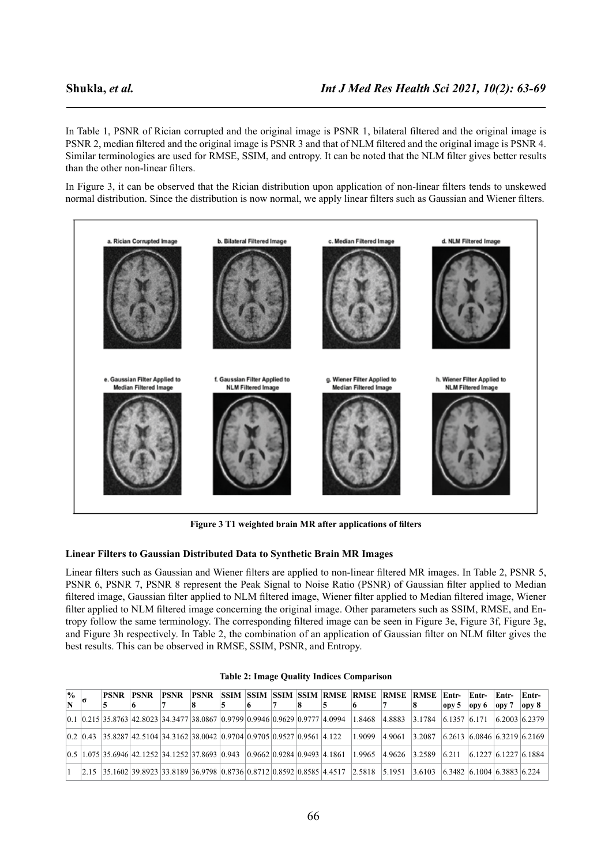In Table 1, PSNR of Rician corrupted and the original image is PSNR 1, bilateral filtered and the original image is PSNR 2, median filtered and the original image is PSNR 3 and that of NLM filtered and the original image is PSNR 4. Similar terminologies are used for RMSE, SSIM, and entropy. It can be noted that the NLM filter gives better results than the other non-linear filters.

In Figure 3, it can be observed that the Rician distribution upon application of non-linear filters tends to unskewed normal distribution. Since the distribution is now normal, we apply linear filters such as Gaussian and Wiener filters.



**Figure 3 T1 weighted brain MR after applications of filters**

# **Linear Filters to Gaussian Distributed Data to Synthetic Brain MR Images**

Linear filters such as Gaussian and Wiener filters are applied to non-linear filtered MR images. In Table 2, PSNR 5, PSNR 6, PSNR 7, PSNR 8 represent the Peak Signal to Noise Ratio (PSNR) of Gaussian filter applied to Median filtered image, Gaussian filter applied to NLM filtered image, Wiener filter applied to Median filtered image, Wiener filter applied to NLM filtered image concerning the original image. Other parameters such as SSIM, RMSE, and Entropy follow the same terminology. The corresponding filtered image can be seen in Figure 3e, Figure 3f, Figure 3g, and Figure 3h respectively. In Table 2, the combination of an application of Gaussian filter on NLM filter gives the best results. This can be observed in RMSE, SSIM, PSNR, and Entropy.

| $\frac{0}{0}$ | PSNR | <b>PSNR</b> | <b>PSNR</b>                                                                                                                                                                                                                                                                                                                       | <b>PSNR</b> |  |  | <b>ISSIM ISSIM ISSIM ISSIM RMSE RMSE RMSE</b> |        | <b>RMSE</b>                                                                      | Entr- | Entr- | Entr-           | Entr-             |
|---------------|------|-------------|-----------------------------------------------------------------------------------------------------------------------------------------------------------------------------------------------------------------------------------------------------------------------------------------------------------------------------------|-------------|--|--|-----------------------------------------------|--------|----------------------------------------------------------------------------------|-------|-------|-----------------|-------------------|
|               |      |             |                                                                                                                                                                                                                                                                                                                                   |             |  |  |                                               |        |                                                                                  | opp 5 | ору 6 | $_{\rm  $ opy 7 | opy 8             |
|               |      |             | $\vert 0.1 \vert 0.215 \vert 35.8763 \vert 42.8023 \vert 34.3477 \vert 38.0867 \vert 0.9799 \vert 0.9946 \vert 0.9629 \vert 0.9777 \vert 4.0994$                                                                                                                                                                                  |             |  |  | 1.8468                                        | 4.8883 | $\vert 3.1784 \vert 6.1357 \vert 6.171 \vert$                                    |       |       |                 | $(6.2003)$ 6.2379 |
|               |      |             | $\vert 0.2 \vert 0.43 \vert 35.8287 \vert 42.5104 \vert 34.3162 \vert 38.0042 \vert 0.9704 \vert 0.9705 \vert 0.9527 \vert 0.9561 \vert 4.122 \vert 0.9704 \vert 0.9705 \vert 0.9527 \vert 0.9561 \vert 0.9561 \vert 0.922 \vert 0.9561 \vert 0.9561 \vert 0.9561 \vert 0.9561 \vert 0.9561 \vert 0.9561 \vert 0.9561 \vert 0.95$ |             |  |  | 1.9099                                        | 4.9061 | $\vert 3.2087 \vert$ $\vert 6.2613 \vert 6.0846 \vert 6.3219 \vert 6.2169 \vert$ |       |       |                 |                   |
|               |      |             | $\vert 0.5 \vert 1.075 \vert 35.6946 \vert 42.1252 \vert 34.1252 \vert 37.8693 \vert 0.943 \vert 0.9662 \vert 0.9284 \vert 0.9493 \vert 4.1861$                                                                                                                                                                                   |             |  |  | 1.9965                                        |        | $ 4.9626 \t 3.2589 \t 6.211 \t 6.1227 \t 6.1227 \t 6.1884$                       |       |       |                 |                   |
|               |      |             | $\left  \frac{2.15}{2.5} \right $ 35.1602 39.8923 33.8189 36.9798 0.8736 0.8712 0.8592 0.8585 4.4517 2.5818                                                                                                                                                                                                                       |             |  |  |                                               | 5.1951 | 3.6103 6.3482 6.1004 6.3883 6.224                                                |       |       |                 |                   |

|  |  |  |  | <b>Table 2: Image Quality Indices Comparison</b> |
|--|--|--|--|--------------------------------------------------|
|--|--|--|--|--------------------------------------------------|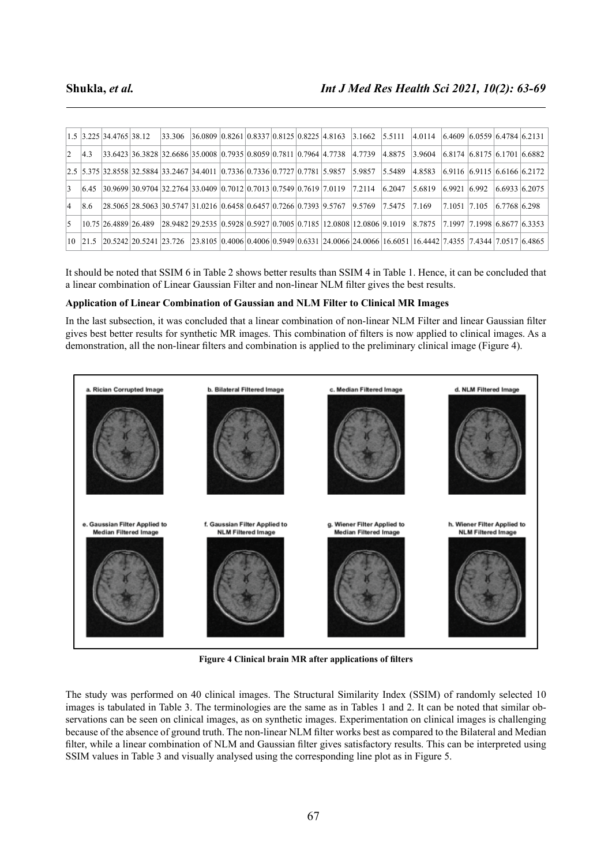|                 |     | $ 1.5 $ 3.225 34.4765 38.12 |  |  |  |  | $\left  \frac{33.306}{36.0809} \right  0.8261 \left  \frac{0.8337}{0.8125} \right  0.8225 \left  4.8163 \right  3.1662 \left  5.5111 \right  4.0114 \left  6.4609 \right  6.0559 \left  6.4784 \right  6.2131$ |                                                                                |                                  |              |               |
|-----------------|-----|-----------------------------|--|--|--|--|----------------------------------------------------------------------------------------------------------------------------------------------------------------------------------------------------------------|--------------------------------------------------------------------------------|----------------------------------|--------------|---------------|
| $\vert 2 \vert$ | 4.3 |                             |  |  |  |  | $\left 33,6423\right 36.3828\left 32,6686\right 35.0008\left 0.7935\right 0.8059\left 0.7811\right 0.7964\left 4.7738\right 4.7739\left 4.8875\right $                                                         | $\vert 3.9604 \vert \vert 6.8174 \vert 6.8175 \vert 6.1701 \vert 6.6882 \vert$ |                                  |              |               |
|                 |     |                             |  |  |  |  | $\left  \frac{2.5}{5.375} \right $ 32.8558 32.5884 33.2467 34.4011 0.7336 0.7336 0.7727 0.7781 5.9857 5.9857 5.5489                                                                                            | $ 4.8583 \t  6.9116 \t  6.9115 \t  6.6166 \t  6.2172 \t $                      |                                  |              |               |
| 3               |     |                             |  |  |  |  | $(6.45 \quad 30.9699 \quad 30.9704 \quad 32.2764 \quad 33.0409 \quad 0.7012 \quad 0.7013 \quad 0.7549 \quad 0.7619 \quad 7.0119 \quad 7.2114 \quad 6.2047$                                                     | 5.6819                                                                         | $6.9921$ 6.992                   |              | 6.6933 6.2075 |
| $\vert$ 4       | 8.6 |                             |  |  |  |  | $\left  \frac{28.5065}{28.5063} \right  \frac{30.5747}{31.0216} \right  0.6458 \left  0.6457 \right  0.7266 \left  0.7393 \right  9.5767$ $\left  9.5769 \right  7.5475$                                       | 7.169                                                                          | $\vert 7.1051 \vert 7.105 \vert$ | 6.7768 6.298 |               |
| 5               |     |                             |  |  |  |  | $(10.75 \, 26.4889 \, 26.489 \, 28.9482 \, 29.2535 \, 0.5928 \, 0.5927 \, 0.7005 \, 0.7185 \, 12.0808 \, 12.0806 \, 9.1019 \, 8.7875 \, 7.1997 \, 7.1998 \, 6.8677 \, 6.3353$                                  |                                                                                |                                  |              |               |
|                 |     |                             |  |  |  |  | 10 21.5 20.5242 20.5241 23.726 23.8105 0.4006 0.4006 0.5949 0.6331 24.0066 24.0066 16.6051 16.4442 7.4355 7.4344 7.0517 6.4865                                                                                 |                                                                                |                                  |              |               |

It should be noted that SSIM 6 in Table 2 shows better results than SSIM 4 in Table 1. Hence, it can be concluded that a linear combination of Linear Gaussian Filter and non-linear NLM filter gives the best results.

# **Application of Linear Combination of Gaussian and NLM Filter to Clinical MR Images**

In the last subsection, it was concluded that a linear combination of non-linear NLM Filter and linear Gaussian filter gives best better results for synthetic MR images. This combination of filters is now applied to clinical images. As a demonstration, all the non-linear filters and combination is applied to the preliminary clinical image (Figure 4).



**Figure 4 Clinical brain MR after applications of filters**

The study was performed on 40 clinical images. The Structural Similarity Index (SSIM) of randomly selected 10 images is tabulated in Table 3. The terminologies are the same as in Tables 1 and 2. It can be noted that similar observations can be seen on clinical images, as on synthetic images. Experimentation on clinical images is challenging because of the absence of ground truth. The non-linear NLM filter works best as compared to the Bilateral and Median filter, while a linear combination of NLM and Gaussian filter gives satisfactory results. This can be interpreted using SSIM values in Table 3 and visually analysed using the corresponding line plot as in Figure 5.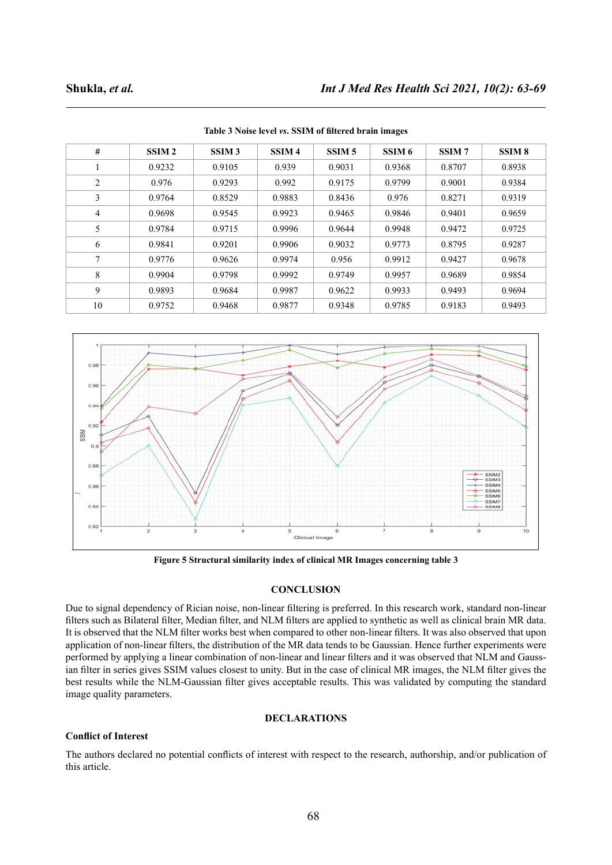| #              | SSIM <sub>2</sub> | SSIM <sub>3</sub> | SSIM <sub>4</sub> | SSIM <sub>5</sub> | SSIM <sub>6</sub> | SSIM <sub>7</sub> | SSIM <sub>8</sub> |
|----------------|-------------------|-------------------|-------------------|-------------------|-------------------|-------------------|-------------------|
| 1              | 0.9232            | 0.9105            | 0.939             | 0.9031            | 0.9368            | 0.8707            | 0.8938            |
| $\overline{c}$ | 0.976             | 0.9293            | 0.992             | 0.9175            | 0.9799            | 0.9001            | 0.9384            |
| 3              | 0.9764            | 0.8529            | 0.9883            | 0.8436            | 0.976             | 0.8271            | 0.9319            |
| $\overline{4}$ | 0.9698            | 0.9545            | 0.9923            | 0.9465            | 0.9846            | 0.9401            | 0.9659            |
| 5              | 0.9784            | 0.9715            | 0.9996            | 0.9644            | 0.9948            | 0.9472            | 0.9725            |
| 6              | 0.9841            | 0.9201            | 0.9906            | 0.9032            | 0.9773            | 0.8795            | 0.9287            |
| $\tau$         | 0.9776            | 0.9626            | 0.9974            | 0.956             | 0.9912            | 0.9427            | 0.9678            |
| 8              | 0.9904            | 0.9798            | 0.9992            | 0.9749            | 0.9957            | 0.9689            | 0.9854            |
| 9              | 0.9893            | 0.9684            | 0.9987            | 0.9622            | 0.9933            | 0.9493            | 0.9694            |
| 10             | 0.9752            | 0.9468            | 0.9877            | 0.9348            | 0.9785            | 0.9183            | 0.9493            |

**Table 3 Noise level** *vs***. SSIM of filtered brain images**



**Figure 5 Structural similarity index of clinical MR Images concerning table 3**

# **CONCLUSION**

Due to signal dependency of Rician noise, non-linear filtering is preferred. In this research work, standard non-linear filters such as Bilateral filter, Median filter, and NLM filters are applied to synthetic as well as clinical brain MR data. It is observed that the NLM filter works best when compared to other non-linear filters. It was also observed that upon application of non-linear filters, the distribution of the MR data tends to be Gaussian. Hence further experiments were performed by applying a linear combination of non-linear and linear filters and it was observed that NLM and Gaussian filter in series gives SSIM values closest to unity. But in the case of clinical MR images, the NLM filter gives the best results while the NLM-Gaussian filter gives acceptable results. This was validated by computing the standard image quality parameters.

### **DECLARATIONS**

### **Conflict of Interest**

The authors declared no potential conflicts of interest with respect to the research, authorship, and/or publication of this article.